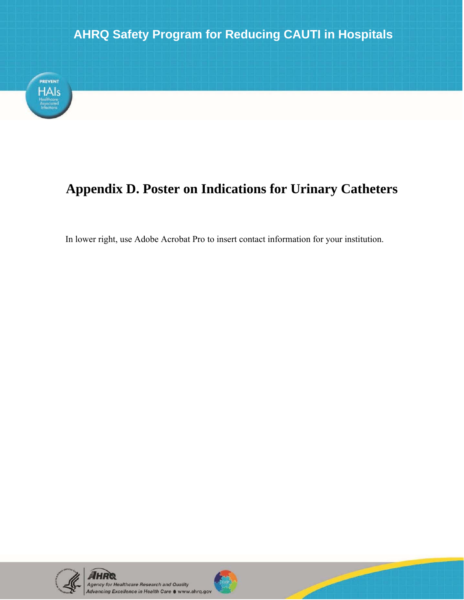

## **Appendix D. Poster on Indications for Urinary Catheters**

In lower right, use Adobe Acrobat Pro to insert contact information for your institution.